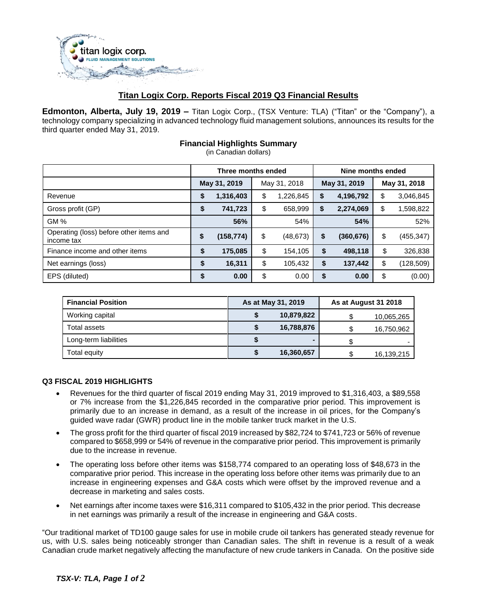

## **Titan Logix Corp. Reports Fiscal 2019 Q3 Financial Results**

**Edmonton, Alberta, July 19, 2019 –** Titan Logix Corp., (TSX Venture: TLA) ("Titan" or the "Company"), a technology company specializing in advanced technology fluid management solutions, announces its results for the third quarter ended May 31, 2019.

## **Financial Highlights Summary**

(in Canadian dollars)

|                                                       | Three months ended |           |              |           | Nine months ended |            |              |            |
|-------------------------------------------------------|--------------------|-----------|--------------|-----------|-------------------|------------|--------------|------------|
|                                                       | May 31, 2019       |           | May 31, 2018 |           | May 31, 2019      |            | May 31, 2018 |            |
| Revenue                                               | \$                 | 1,316,403 | \$           | 1,226,845 | S                 | 4,196,792  | \$           | 3,046,845  |
| Gross profit (GP)                                     | \$                 | 741,723   | \$           | 658,999   | S                 | 2,274,069  | \$           | 1,598,822  |
| GM%                                                   |                    | 56%       |              | 54%       |                   | 54%        |              | 52%        |
| Operating (loss) before other items and<br>income tax | \$                 | (158,774) | \$           | (48, 673) | \$                | (360, 676) | \$           | (455, 347) |
| Finance income and other items                        | \$                 | 175,085   | \$           | 154,105   | \$                | 498,118    | \$           | 326,838    |
| Net earnings (loss)                                   | \$                 | 16,311    | \$           | 105,432   | \$                | 137,442    | \$           | (128,509)  |
| EPS (diluted)                                         | \$                 | 0.00      | \$           | 0.00      | \$                | 0.00       | \$           | (0.00)     |

| <b>Financial Position</b> | As at May 31, 2019 | As at August 31 2018 |            |  |
|---------------------------|--------------------|----------------------|------------|--|
| Working capital           | 10,879,822         |                      | 10,065,265 |  |
| Total assets              | 16,788,876         |                      | 16,750,962 |  |
| Long-term liabilities     |                    |                      |            |  |
| Total equity              | 16,360,657         |                      | 16,139,215 |  |

## **Q3 FISCAL 2019 HIGHLIGHTS**

- Revenues for the third quarter of fiscal 2019 ending May 31, 2019 improved to \$1,316,403, a \$89,558 or 7% increase from the \$1,226,845 recorded in the comparative prior period. This improvement is primarily due to an increase in demand, as a result of the increase in oil prices, for the Company's guided wave radar (GWR) product line in the mobile tanker truck market in the U.S.
- The gross profit for the third quarter of fiscal 2019 increased by \$82,724 to \$741,723 or 56% of revenue compared to \$658,999 or 54% of revenue in the comparative prior period. This improvement is primarily due to the increase in revenue.
- The operating loss before other items was \$158,774 compared to an operating loss of \$48,673 in the comparative prior period. This increase in the operating loss before other items was primarily due to an increase in engineering expenses and G&A costs which were offset by the improved revenue and a decrease in marketing and sales costs.
- Net earnings after income taxes were \$16,311 compared to \$105,432 in the prior period. This decrease in net earnings was primarily a result of the increase in engineering and G&A costs.

"Our traditional market of TD100 gauge sales for use in mobile crude oil tankers has generated steady revenue for us, with U.S. sales being noticeably stronger than Canadian sales. The shift in revenue is a result of a weak Canadian crude market negatively affecting the manufacture of new crude tankers in Canada. On the positive side